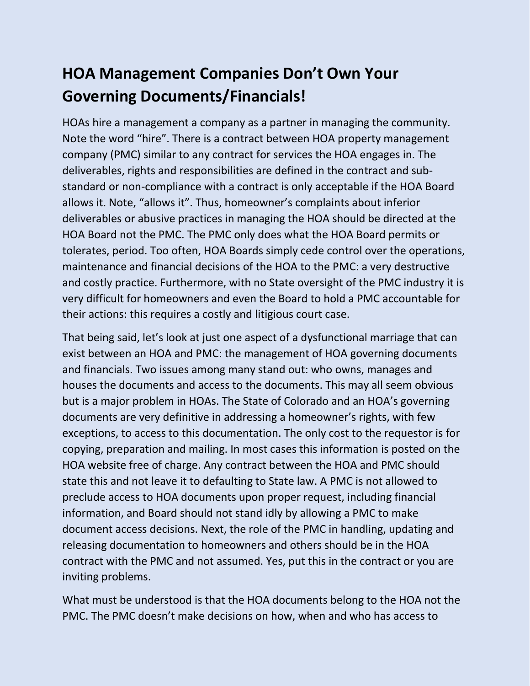## **HOA Management Companies Don't Own Your Governing Documents/Financials!**

HOAs hire a management a company as a partner in managing the community. Note the word "hire". There is a contract between HOA property management company (PMC) similar to any contract for services the HOA engages in. The deliverables, rights and responsibilities are defined in the contract and substandard or non-compliance with a contract is only acceptable if the HOA Board allows it. Note, "allows it". Thus, homeowner's complaints about inferior deliverables or abusive practices in managing the HOA should be directed at the HOA Board not the PMC. The PMC only does what the HOA Board permits or tolerates, period. Too often, HOA Boards simply cede control over the operations, maintenance and financial decisions of the HOA to the PMC: a very destructive and costly practice. Furthermore, with no State oversight of the PMC industry it is very difficult for homeowners and even the Board to hold a PMC accountable for their actions: this requires a costly and litigious court case.

That being said, let's look at just one aspect of a dysfunctional marriage that can exist between an HOA and PMC: the management of HOA governing documents and financials. Two issues among many stand out: who owns, manages and houses the documents and access to the documents. This may all seem obvious but is a major problem in HOAs. The State of Colorado and an HOA's governing documents are very definitive in addressing a homeowner's rights, with few exceptions, to access to this documentation. The only cost to the requestor is for copying, preparation and mailing. In most cases this information is posted on the HOA website free of charge. Any contract between the HOA and PMC should state this and not leave it to defaulting to State law. A PMC is not allowed to preclude access to HOA documents upon proper request, including financial information, and Board should not stand idly by allowing a PMC to make document access decisions. Next, the role of the PMC in handling, updating and releasing documentation to homeowners and others should be in the HOA contract with the PMC and not assumed. Yes, put this in the contract or you are inviting problems.

What must be understood is that the HOA documents belong to the HOA not the PMC. The PMC doesn't make decisions on how, when and who has access to